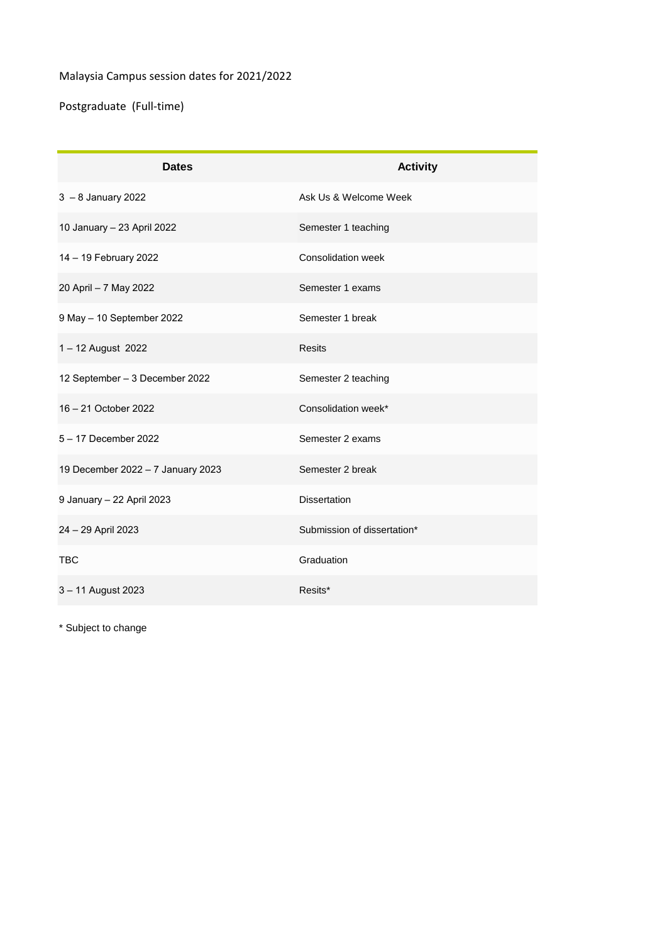## Malaysia Campus session dates for 2021/2022

Postgraduate (Full-time)

| <b>Dates</b>                      | <b>Activity</b>             |
|-----------------------------------|-----------------------------|
| $3 - 8$ January 2022              | Ask Us & Welcome Week       |
| 10 January - 23 April 2022        | Semester 1 teaching         |
| 14 - 19 February 2022             | Consolidation week          |
| 20 April - 7 May 2022             | Semester 1 exams            |
| 9 May - 10 September 2022         | Semester 1 break            |
| 1-12 August 2022                  | <b>Resits</b>               |
| 12 September - 3 December 2022    | Semester 2 teaching         |
| 16 - 21 October 2022              | Consolidation week*         |
| 5 - 17 December 2022              | Semester 2 exams            |
| 19 December 2022 - 7 January 2023 | Semester 2 break            |
| 9 January - 22 April 2023         | <b>Dissertation</b>         |
| 24 - 29 April 2023                | Submission of dissertation* |
| <b>TBC</b>                        | Graduation                  |
| 3-11 August 2023                  | Resits*                     |

\* Subject to change